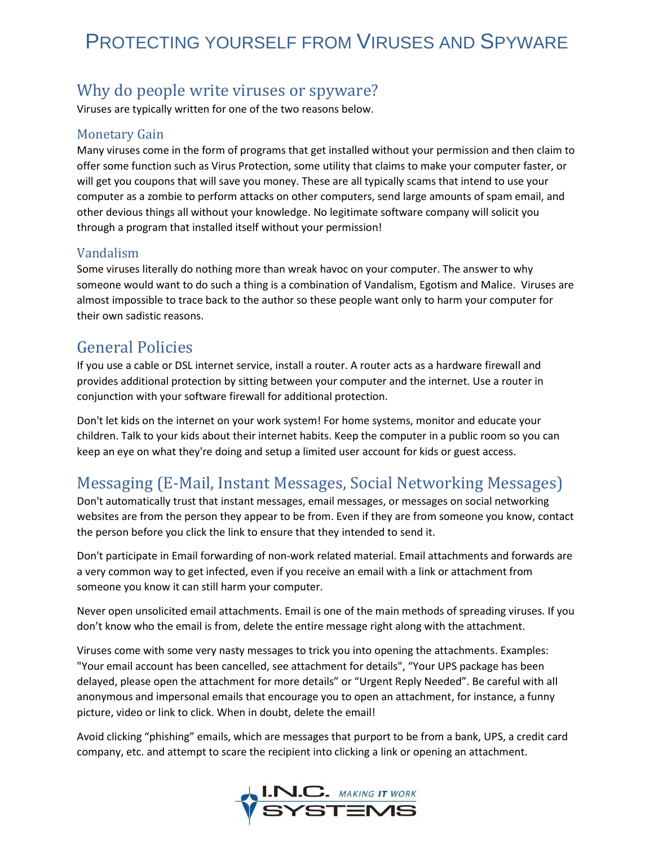# PROTECTING YOURSELF FROM VIRUSES AND SPYWARE

## Why do people write viruses or spyware?

Viruses are typically written for one of the two reasons below.

#### Monetary Gain

Many viruses come in the form of programs that get installed without your permission and then claim to offer some function such as Virus Protection, some utility that claims to make your computer faster, or will get you coupons that will save you money. These are all typically scams that intend to use your computer as a zombie to perform attacks on other computers, send large amounts of spam email, and other devious things all without your knowledge. No legitimate software company will solicit you through a program that installed itself without your permission!

### Vandalism

Some viruses literally do nothing more than wreak havoc on your computer. The answer to why someone would want to do such a thing is a combination of Vandalism, Egotism and Malice. Viruses are almost impossible to trace back to the author so these people want only to harm your computer for their own sadistic reasons.

### General Policies

If you use a cable or DSL internet service, install a router. A router acts as a hardware firewall and provides additional protection by sitting between your computer and the internet. Use a router in conjunction with your software firewall for additional protection.

Don't let kids on the internet on your work system! For home systems, monitor and educate your children. Talk to your kids about their internet habits. Keep the computer in a public room so you can keep an eye on what they're doing and setup a limited user account for kids or guest access.

# Messaging (E-Mail, Instant Messages, Social Networking Messages)

Don't automatically trust that instant messages, email messages, or messages on social networking websites are from the person they appear to be from. Even if they are from someone you know, contact the person before you click the link to ensure that they intended to send it.

Don't participate in Email forwarding of non-work related material. Email attachments and forwards are a very common way to get infected, even if you receive an email with a link or attachment from someone you know it can still harm your computer.

Never open unsolicited email attachments. Email is one of the main methods of spreading viruses. If you don't know who the email is from, delete the entire message right along with the attachment.

Viruses come with some very nasty messages to trick you into opening the attachments. Examples: "Your email account has been cancelled, see attachment for details", "Your UPS package has been delayed, please open the attachment for more details" or "Urgent Reply Needed". Be careful with all anonymous and impersonal emails that encourage you to open an attachment, for instance, a funny picture, video or link to click. When in doubt, delete the email!

Avoid clicking "phishing" emails, which are messages that purport to be from a bank, UPS, a credit card company, etc. and attempt to scare the recipient into clicking a link or opening an attachment.